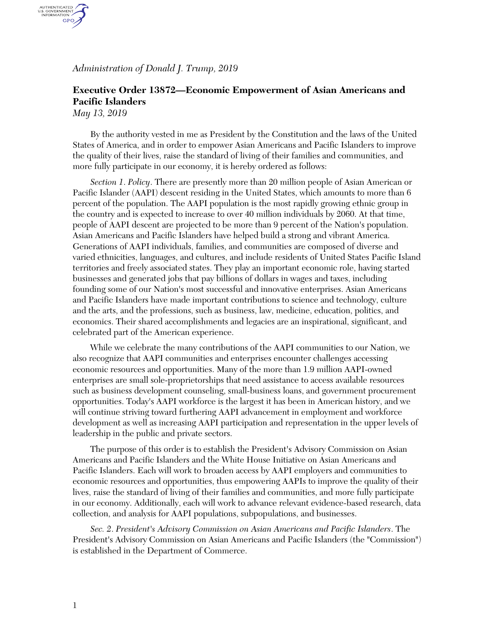*Administration of Donald J. Trump, 2019*

## **Executive Order 13872—Economic Empowerment of Asian Americans and Pacific Islanders**

*May 13, 2019*

AUTHENTICATED<br>U.S. GOVERNMENT<br>INFORMATION GPO.

> By the authority vested in me as President by the Constitution and the laws of the United States of America, and in order to empower Asian Americans and Pacific Islanders to improve the quality of their lives, raise the standard of living of their families and communities, and more fully participate in our economy, it is hereby ordered as follows:

*Section 1*. *Policy*. There are presently more than 20 million people of Asian American or Pacific Islander (AAPI) descent residing in the United States, which amounts to more than 6 percent of the population. The AAPI population is the most rapidly growing ethnic group in the country and is expected to increase to over 40 million individuals by 2060. At that time, people of AAPI descent are projected to be more than 9 percent of the Nation's population. Asian Americans and Pacific Islanders have helped build a strong and vibrant America. Generations of AAPI individuals, families, and communities are composed of diverse and varied ethnicities, languages, and cultures, and include residents of United States Pacific Island territories and freely associated states. They play an important economic role, having started businesses and generated jobs that pay billions of dollars in wages and taxes, including founding some of our Nation's most successful and innovative enterprises. Asian Americans and Pacific Islanders have made important contributions to science and technology, culture and the arts, and the professions, such as business, law, medicine, education, politics, and economics. Their shared accomplishments and legacies are an inspirational, significant, and celebrated part of the American experience.

While we celebrate the many contributions of the AAPI communities to our Nation, we also recognize that AAPI communities and enterprises encounter challenges accessing economic resources and opportunities. Many of the more than 1.9 million AAPI-owned enterprises are small sole-proprietorships that need assistance to access available resources such as business development counseling, small-business loans, and government procurement opportunities. Today's AAPI workforce is the largest it has been in American history, and we will continue striving toward furthering AAPI advancement in employment and workforce development as well as increasing AAPI participation and representation in the upper levels of leadership in the public and private sectors.

The purpose of this order is to establish the President's Advisory Commission on Asian Americans and Pacific Islanders and the White House Initiative on Asian Americans and Pacific Islanders. Each will work to broaden access by AAPI employers and communities to economic resources and opportunities, thus empowering AAPIs to improve the quality of their lives, raise the standard of living of their families and communities, and more fully participate in our economy. Additionally, each will work to advance relevant evidence-based research, data collection, and analysis for AAPI populations, subpopulations, and businesses.

*Sec. 2*. *President's Advisory Commission on Asian Americans and Pacific Islanders*. The President's Advisory Commission on Asian Americans and Pacific Islanders (the "Commission") is established in the Department of Commerce.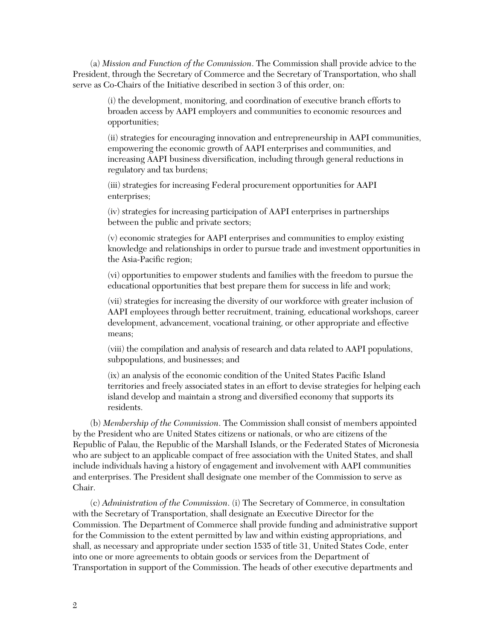(a) *Mission and Function of the Commission*. The Commission shall provide advice to the President, through the Secretary of Commerce and the Secretary of Transportation, who shall serve as Co-Chairs of the Initiative described in section 3 of this order, on:

> (i) the development, monitoring, and coordination of executive branch efforts to broaden access by AAPI employers and communities to economic resources and opportunities;

(ii) strategies for encouraging innovation and entrepreneurship in AAPI communities, empowering the economic growth of AAPI enterprises and communities, and increasing AAPI business diversification, including through general reductions in regulatory and tax burdens;

(iii) strategies for increasing Federal procurement opportunities for AAPI enterprises;

(iv) strategies for increasing participation of AAPI enterprises in partnerships between the public and private sectors;

(v) economic strategies for AAPI enterprises and communities to employ existing knowledge and relationships in order to pursue trade and investment opportunities in the Asia-Pacific region;

(vi) opportunities to empower students and families with the freedom to pursue the educational opportunities that best prepare them for success in life and work;

(vii) strategies for increasing the diversity of our workforce with greater inclusion of AAPI employees through better recruitment, training, educational workshops, career development, advancement, vocational training, or other appropriate and effective means;

(viii) the compilation and analysis of research and data related to AAPI populations, subpopulations, and businesses; and

(ix) an analysis of the economic condition of the United States Pacific Island territories and freely associated states in an effort to devise strategies for helping each island develop and maintain a strong and diversified economy that supports its residents.

(b) *Membership of the Commission*. The Commission shall consist of members appointed by the President who are United States citizens or nationals, or who are citizens of the Republic of Palau, the Republic of the Marshall Islands, or the Federated States of Micronesia who are subject to an applicable compact of free association with the United States, and shall include individuals having a history of engagement and involvement with AAPI communities and enterprises. The President shall designate one member of the Commission to serve as Chair.

(c) *Administration of the Commission*. (i) The Secretary of Commerce, in consultation with the Secretary of Transportation, shall designate an Executive Director for the Commission. The Department of Commerce shall provide funding and administrative support for the Commission to the extent permitted by law and within existing appropriations, and shall, as necessary and appropriate under section 1535 of title 31, United States Code, enter into one or more agreements to obtain goods or services from the Department of Transportation in support of the Commission. The heads of other executive departments and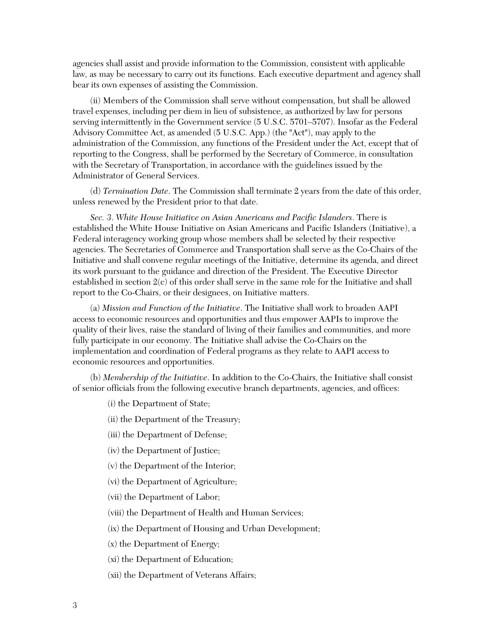agencies shall assist and provide information to the Commission, consistent with applicable law, as may be necessary to carry out its functions. Each executive department and agency shall bear its own expenses of assisting the Commission.

(ii) Members of the Commission shall serve without compensation, but shall be allowed travel expenses, including per diem in lieu of subsistence, as authorized by law for persons serving intermittently in the Government service (5 U.S.C. 5701–5707). Insofar as the Federal Advisory Committee Act, as amended (5 U.S.C. App.) (the "Act"), may apply to the administration of the Commission, any functions of the President under the Act, except that of reporting to the Congress, shall be performed by the Secretary of Commerce, in consultation with the Secretary of Transportation, in accordance with the guidelines issued by the Administrator of General Services.

(d) *Termination Date*. The Commission shall terminate 2 years from the date of this order, unless renewed by the President prior to that date.

*Sec. 3*. *White House Initiative on Asian Americans and Pacific Islanders*. There is established the White House Initiative on Asian Americans and Pacific Islanders (Initiative), a Federal interagency working group whose members shall be selected by their respective agencies. The Secretaries of Commerce and Transportation shall serve as the Co-Chairs of the Initiative and shall convene regular meetings of the Initiative, determine its agenda, and direct its work pursuant to the guidance and direction of the President. The Executive Director established in section  $2(c)$  of this order shall serve in the same role for the Initiative and shall report to the Co-Chairs, or their designees, on Initiative matters.

(a) *Mission and Function of the Initiative*. The Initiative shall work to broaden AAPI access to economic resources and opportunities and thus empower AAPIs to improve the quality of their lives, raise the standard of living of their families and communities, and more fully participate in our economy. The Initiative shall advise the Co-Chairs on the implementation and coordination of Federal programs as they relate to AAPI access to economic resources and opportunities.

(b) *Membership of the Initiative*. In addition to the Co-Chairs, the Initiative shall consist of senior officials from the following executive branch departments, agencies, and offices:

(i) the Department of State;

(ii) the Department of the Treasury;

(iii) the Department of Defense;

(iv) the Department of Justice;

(v) the Department of the Interior;

(vi) the Department of Agriculture;

(vii) the Department of Labor;

(viii) the Department of Health and Human Services;

(ix) the Department of Housing and Urban Development;

(x) the Department of Energy;

(xi) the Department of Education;

(xii) the Department of Veterans Affairs;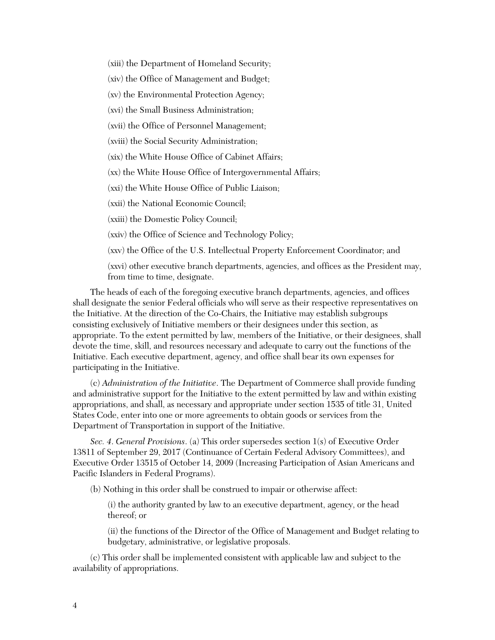(xiii) the Department of Homeland Security;

(xiv) the Office of Management and Budget;

(xv) the Environmental Protection Agency;

(xvi) the Small Business Administration;

(xvii) the Office of Personnel Management;

(xviii) the Social Security Administration;

(xix) the White House Office of Cabinet Affairs;

(xx) the White House Office of Intergovernmental Affairs;

(xxi) the White House Office of Public Liaison;

(xxii) the National Economic Council;

(xxiii) the Domestic Policy Council;

(xxiv) the Office of Science and Technology Policy;

(xxv) the Office of the U.S. Intellectual Property Enforcement Coordinator; and

(xxvi) other executive branch departments, agencies, and offices as the President may, from time to time, designate.

The heads of each of the foregoing executive branch departments, agencies, and offices shall designate the senior Federal officials who will serve as their respective representatives on the Initiative. At the direction of the Co-Chairs, the Initiative may establish subgroups consisting exclusively of Initiative members or their designees under this section, as appropriate. To the extent permitted by law, members of the Initiative, or their designees, shall devote the time, skill, and resources necessary and adequate to carry out the functions of the Initiative. Each executive department, agency, and office shall bear its own expenses for participating in the Initiative.

(c) *Administration of the Initiative*. The Department of Commerce shall provide funding and administrative support for the Initiative to the extent permitted by law and within existing appropriations, and shall, as necessary and appropriate under section 1535 of title 31, United States Code, enter into one or more agreements to obtain goods or services from the Department of Transportation in support of the Initiative.

*Sec. 4*. *General Provisions*. (a) This order supersedes section 1(s) of Executive Order 13811 of September 29, 2017 (Continuance of Certain Federal Advisory Committees), and Executive Order 13515 of October 14, 2009 (Increasing Participation of Asian Americans and Pacific Islanders in Federal Programs).

(b) Nothing in this order shall be construed to impair or otherwise affect:

(i) the authority granted by law to an executive department, agency, or the head thereof; or

(ii) the functions of the Director of the Office of Management and Budget relating to budgetary, administrative, or legislative proposals.

(c) This order shall be implemented consistent with applicable law and subject to the availability of appropriations.